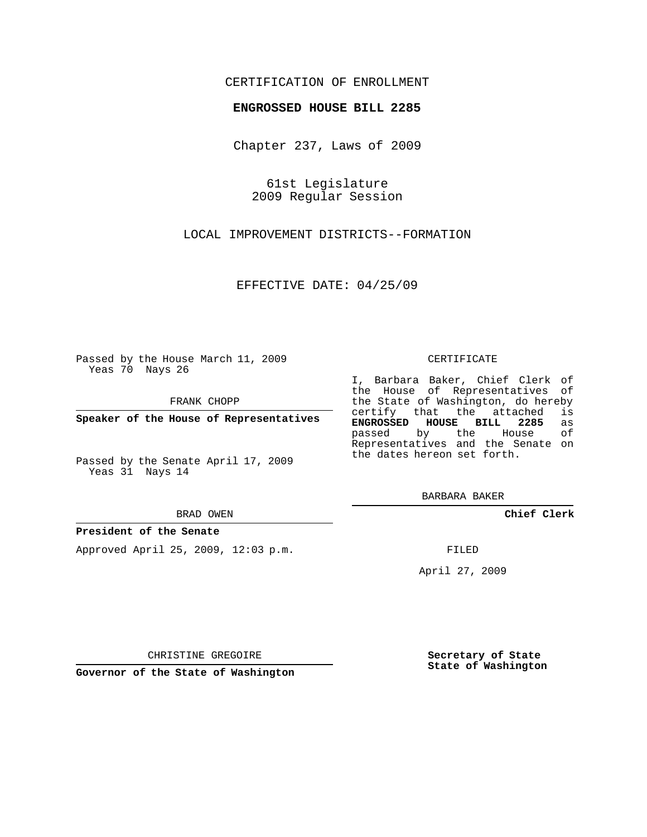## CERTIFICATION OF ENROLLMENT

## **ENGROSSED HOUSE BILL 2285**

Chapter 237, Laws of 2009

61st Legislature 2009 Regular Session

LOCAL IMPROVEMENT DISTRICTS--FORMATION

EFFECTIVE DATE: 04/25/09

Passed by the House March 11, 2009 Yeas 70 Nays 26

FRANK CHOPP

**Speaker of the House of Representatives**

Passed by the Senate April 17, 2009 Yeas 31 Nays 14

#### BRAD OWEN

### **President of the Senate**

Approved April 25, 2009, 12:03 p.m.

#### CERTIFICATE

I, Barbara Baker, Chief Clerk of the House of Representatives of the State of Washington, do hereby<br>certify that the attached is certify that the attached **ENGROSSED HOUSE BILL 2285** as passed by the House of Representatives and the Senate on the dates hereon set forth.

BARBARA BAKER

**Chief Clerk**

FILED

April 27, 2009

CHRISTINE GREGOIRE

**Governor of the State of Washington**

**Secretary of State State of Washington**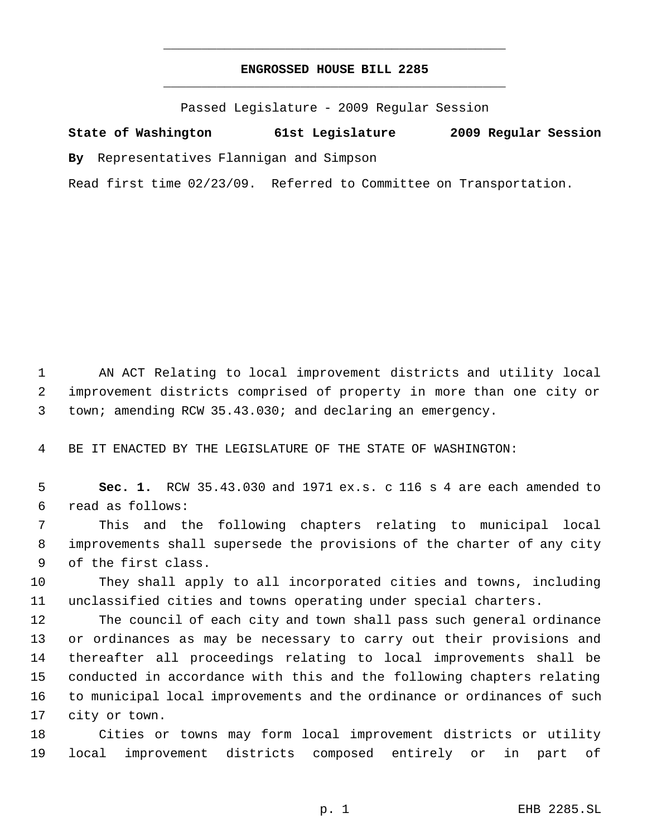# **ENGROSSED HOUSE BILL 2285** \_\_\_\_\_\_\_\_\_\_\_\_\_\_\_\_\_\_\_\_\_\_\_\_\_\_\_\_\_\_\_\_\_\_\_\_\_\_\_\_\_\_\_\_\_

\_\_\_\_\_\_\_\_\_\_\_\_\_\_\_\_\_\_\_\_\_\_\_\_\_\_\_\_\_\_\_\_\_\_\_\_\_\_\_\_\_\_\_\_\_

Passed Legislature - 2009 Regular Session

**State of Washington 61st Legislature 2009 Regular Session**

**By** Representatives Flannigan and Simpson

Read first time 02/23/09. Referred to Committee on Transportation.

 AN ACT Relating to local improvement districts and utility local improvement districts comprised of property in more than one city or town; amending RCW 35.43.030; and declaring an emergency.

BE IT ENACTED BY THE LEGISLATURE OF THE STATE OF WASHINGTON:

 **Sec. 1.** RCW 35.43.030 and 1971 ex.s. c 116 s 4 are each amended to read as follows:

 This and the following chapters relating to municipal local improvements shall supersede the provisions of the charter of any city of the first class.

 They shall apply to all incorporated cities and towns, including unclassified cities and towns operating under special charters.

 The council of each city and town shall pass such general ordinance or ordinances as may be necessary to carry out their provisions and thereafter all proceedings relating to local improvements shall be conducted in accordance with this and the following chapters relating to municipal local improvements and the ordinance or ordinances of such city or town.

 Cities or towns may form local improvement districts or utility local improvement districts composed entirely or in part of